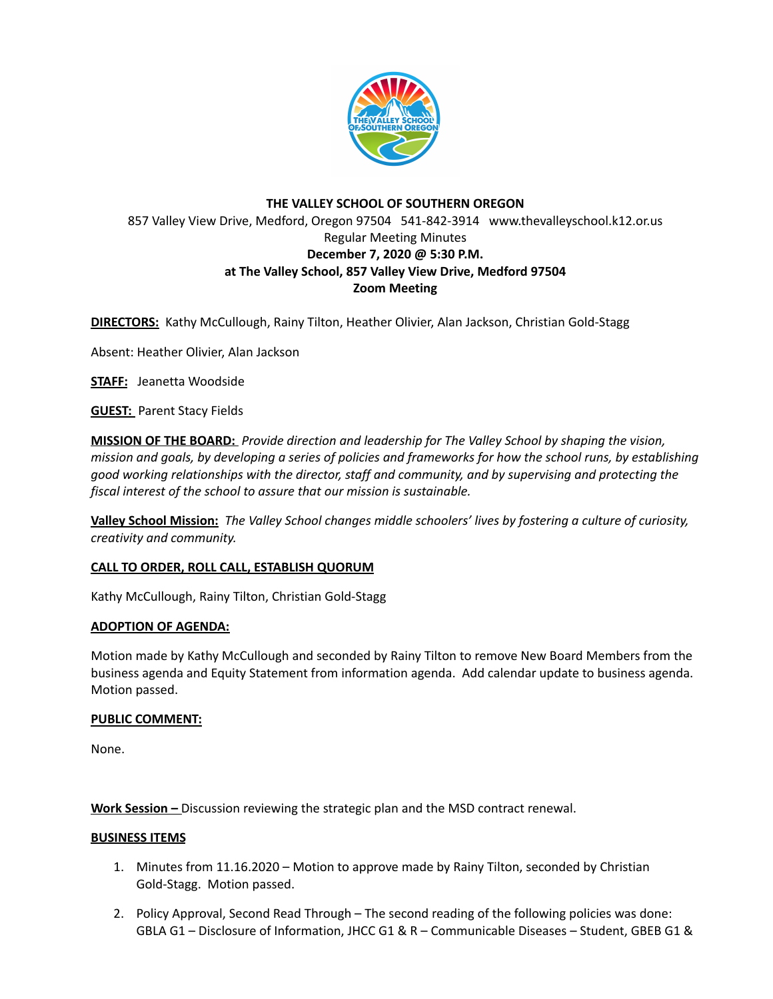

# **THE VALLEY SCHOOL OF SOUTHERN OREGON** 857 Valley View Drive, Medford, Oregon 97504 541-842-3914 www.thevalleyschool.k12.or.us Regular Meeting Minutes **December 7, 2020 @ 5:30 P.M. at The Valley School, 857 Valley View Drive, Medford 97504 Zoom Meeting**

**DIRECTORS:** Kathy McCullough, Rainy Tilton, Heather Olivier, Alan Jackson, Christian Gold-Stagg

Absent: Heather Olivier, Alan Jackson

**STAFF:** Jeanetta Woodside

**GUEST:** Parent Stacy Fields

**MISSION OF THE BOARD:** *Provide direction and leadership for The Valley School by shaping the vision,* mission and goals, by developing a series of policies and frameworks for how the school runs, by establishing *good working relationships with the director, staff and community, and by supervising and protecting the fiscal interest of the school to assure that our mission is sustainable.*

**Valley School Mission:** *The Valley School changes middle schoolers' lives by fostering a culture of curiosity, creativity and community.*

## **CALL TO ORDER, ROLL CALL, ESTABLISH QUORUM**

Kathy McCullough, Rainy Tilton, Christian Gold-Stagg

#### **ADOPTION OF AGENDA:**

Motion made by Kathy McCullough and seconded by Rainy Tilton to remove New Board Members from the business agenda and Equity Statement from information agenda. Add calendar update to business agenda. Motion passed.

## **PUBLIC COMMENT:**

None.

**Work Session –** Discussion reviewing the strategic plan and the MSD contract renewal.

#### **BUSINESS ITEMS**

- 1. Minutes from 11.16.2020 Motion to approve made by Rainy Tilton, seconded by Christian Gold-Stagg. Motion passed.
- 2. Policy Approval, Second Read Through The second reading of the following policies was done: GBLA G1 – Disclosure of Information, JHCC G1 & R – Communicable Diseases – Student, GBEB G1 &